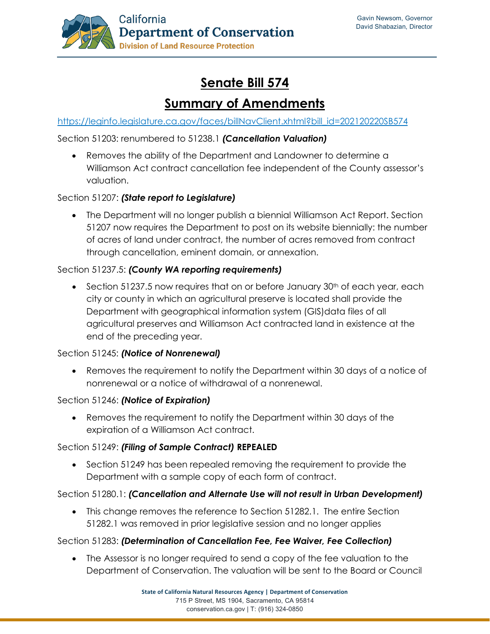

# **Senate Bill 574**

## **Summary of Amendments**

[https://leginfo.legislature.ca.gov/faces/billNavClient.xhtml?bill\\_id=202120220SB574](https://leginfo.legislature.ca.gov/faces/billNavClient.xhtml?bill_id=202120220SB574)

Section 51203: renumbered to 51238.1 *(Cancellation Valuation)*

• Removes the ability of the Department and Landowner to determine a Williamson Act contract cancellation fee independent of the County assessor's valuation.

### Section 51207: *(State report to Legislature)*

• The Department will no longer publish a biennial Williamson Act Report. Section 51207 now requires the Department to post on its website biennially: the number of acres of land under contract, the number of acres removed from contract through cancellation, eminent domain, or annexation.

### Section 51237.5: *(County WA reporting requirements)*

• Section 51237.5 now requires that on or before January  $30<sup>th</sup>$  of each year, each city or county in which an agricultural preserve is located shall provide the Department with geographical information system (GIS)data files of all agricultural preserves and Williamson Act contracted land in existence at the end of the preceding year.

#### Section 51245: *(Notice of Nonrenewal)*

• Removes the requirement to notify the Department within 30 days of a notice of nonrenewal or a notice of withdrawal of a nonrenewal.

#### Section 51246: *(Notice of Expiration)*

• Removes the requirement to notify the Department within 30 days of the expiration of a Williamson Act contract.

#### Section 51249: *(Filing of Sample Contract)* **REPEALED**

• Section 51249 has been repealed removing the requirement to provide the Department with a sample copy of each form of contract.

#### Section 51280.1: *(Cancellation and Alternate Use will not result in Urban Development)*

• This change removes the reference to Section 51282.1. The entire Section 51282.1 was removed in prior legislative session and no longer applies

#### Section 51283: *(Determination of Cancellation Fee, Fee Waiver, Fee Collection)*

• The Assessor is no longer required to send a copy of the fee valuation to the Department of Conservation. The valuation will be sent to the Board or Council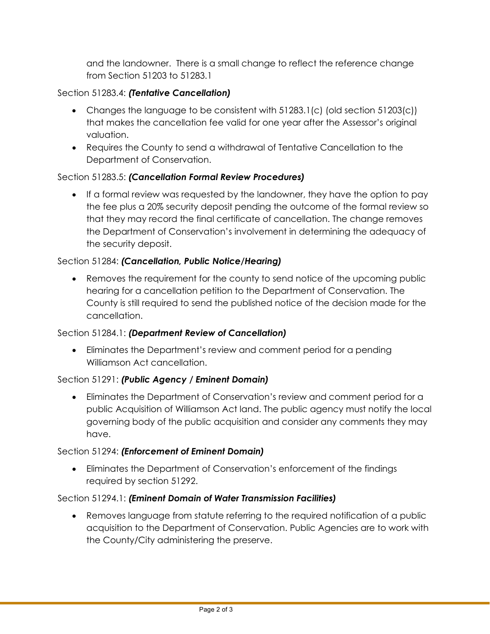and the landowner. There is a small change to reflect the reference change from Section 51203 to 51283.1

## Section 51283.4: *(Tentative Cancellation)*

- Changes the language to be consistent with 51283.1(c) (old section 51203(c)) that makes the cancellation fee valid for one year after the Assessor's original valuation.
- Requires the County to send a withdrawal of Tentative Cancellation to the Department of Conservation.

## Section 51283.5: *(Cancellation Formal Review Procedures)*

• If a formal review was requested by the landowner, they have the option to pay the fee plus a 20% security deposit pending the outcome of the formal review so that they may record the final certificate of cancellation. The change removes the Department of Conservation's involvement in determining the adequacy of the security deposit.

## Section 51284: *(Cancellation, Public Notice/Hearing)*

• Removes the requirement for the county to send notice of the upcoming public hearing for a cancellation petition to the Department of Conservation. The County is still required to send the published notice of the decision made for the cancellation.

## Section 51284.1: *(Department Review of Cancellation)*

• Eliminates the Department's review and comment period for a pending Williamson Act cancellation.

## Section 51291: *(Public Agency / Eminent Domain)*

• Eliminates the Department of Conservation's review and comment period for a public Acquisition of Williamson Act land. The public agency must notify the local governing body of the public acquisition and consider any comments they may have.

#### Section 51294: *(Enforcement of Eminent Domain)*

• Eliminates the Department of Conservation's enforcement of the findings required by section 51292.

## Section 51294.1: *(Eminent Domain of Water Transmission Facilities)*

• Removes language from statute referring to the required notification of a public acquisition to the Department of Conservation. Public Agencies are to work with the County/City administering the preserve.